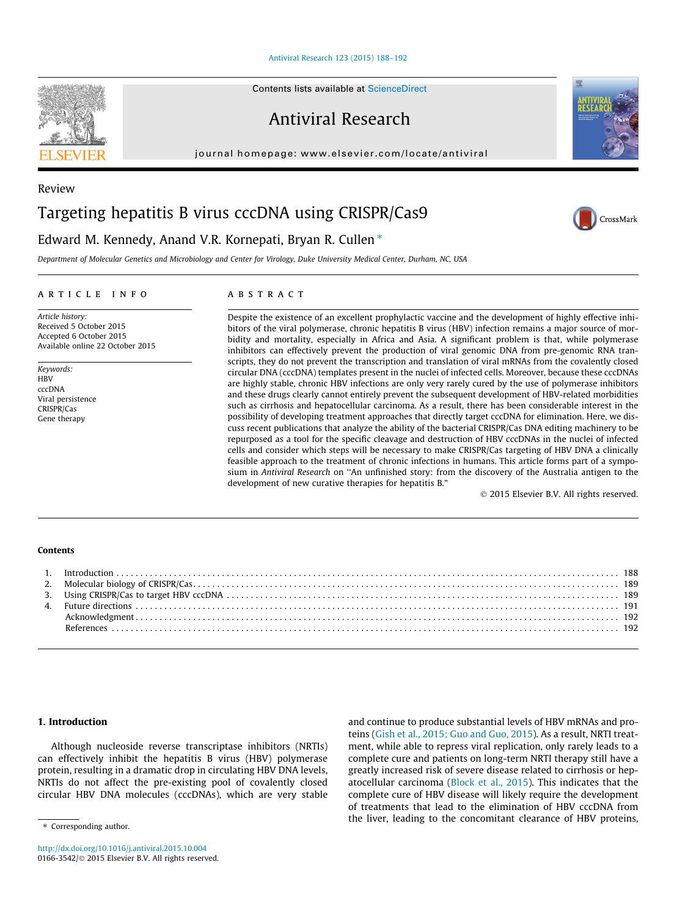[Antiviral Research 123 \(2015\) 188–192](http://dx.doi.org/10.1016/j.antiviral.2015.10.004)

Antiviral Research

journal homepage: [www.elsevier.com/locate/antiviral](http://www.elsevier.com/locate/antiviral)

# Targeting hepatitis B virus cccDNA using CRISPR/Cas9

# Edward M. Kennedy, Anand V.R. Kornepati, Bryan R. Cullen  $*$

Department of Molecular Genetics and Microbiology and Center for Virology, Duke University Medical Center, Durham, NC, USA

## article info

Article history: Received 5 October 2015 Accepted 6 October 2015 Available online 22 October 2015

Keywords: **HBV** cccDNA Viral persistence CRISPR/Cas Gene therapy

# **ABSTRACT**

Despite the existence of an excellent prophylactic vaccine and the development of highly effective inhibitors of the viral polymerase, chronic hepatitis B virus (HBV) infection remains a major source of morbidity and mortality, especially in Africa and Asia. A significant problem is that, while polymerase inhibitors can effectively prevent the production of viral genomic DNA from pre-genomic RNA transcripts, they do not prevent the transcription and translation of viral mRNAs from the covalently closed circular DNA (cccDNA) templates present in the nuclei of infected cells. Moreover, because these cccDNAs are highly stable, chronic HBV infections are only very rarely cured by the use of polymerase inhibitors and these drugs clearly cannot entirely prevent the subsequent development of HBV-related morbidities such as cirrhosis and hepatocellular carcinoma. As a result, there has been considerable interest in the possibility of developing treatment approaches that directly target cccDNA for elimination. Here, we discuss recent publications that analyze the ability of the bacterial CRISPR/Cas DNA editing machinery to be repurposed as a tool for the specific cleavage and destruction of HBV cccDNAs in the nuclei of infected cells and consider which steps will be necessary to make CRISPR/Cas targeting of HBV DNA a clinically feasible approach to the treatment of chronic infections in humans. This article forms part of a symposium in Antiviral Research on ''An unfinished story: from the discovery of the Australia antigen to the development of new curative therapies for hepatitis B."

2015 Elsevier B.V. All rights reserved.

#### Contents

# 1. Introduction

\* Corresponding author.

Although nucleoside reverse transcriptase inhibitors (NRTIs) can effectively inhibit the hepatitis B virus (HBV) polymerase protein, resulting in a dramatic drop in circulating HBV DNA levels, NRTIs do not affect the pre-existing pool of covalently closed circular HBV DNA molecules (cccDNAs), which are very stable

teins [\(Gish et al., 2015; Guo and Guo, 2015](#page-4-0)). As a result, NRTI treatment, while able to repress viral replication, only rarely leads to a complete cure and patients on long-term NRTI therapy still have a greatly increased risk of severe disease related to cirrhosis or hepatocellular carcinoma ([Block et al., 2015\)](#page-4-0). This indicates that the complete cure of HBV disease will likely require the development of treatments that lead to the elimination of HBV cccDNA from the liver, leading to the concomitant clearance of HBV proteins,

and continue to produce substantial levels of HBV mRNAs and pro-

<http://dx.doi.org/10.1016/j.antiviral.2015.10.004> 0166-3542/© 2015 Elsevier B.V. All rights reserved.

Review





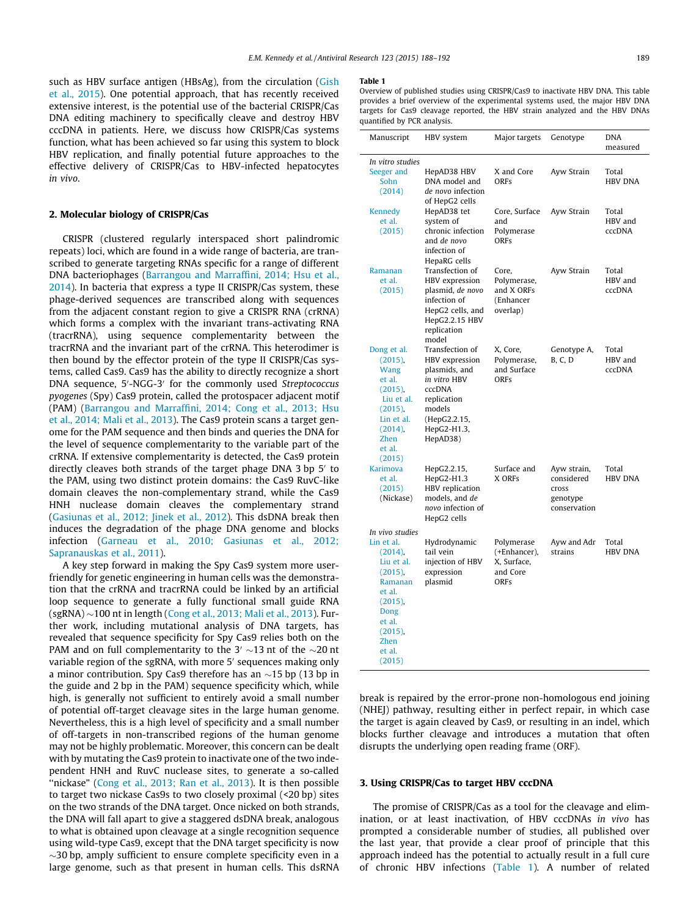<span id="page-1-0"></span>such as HBV surface antigen (HBsAg), from the circulation ([Gish](#page-4-0) [et al., 2015\)](#page-4-0). One potential approach, that has recently received extensive interest, is the potential use of the bacterial CRISPR/Cas DNA editing machinery to specifically cleave and destroy HBV cccDNA in patients. Here, we discuss how CRISPR/Cas systems function, what has been achieved so far using this system to block HBV replication, and finally potential future approaches to the effective delivery of CRISPR/Cas to HBV-infected hepatocytes in vivo.

# 2. Molecular biology of CRISPR/Cas

CRISPR (clustered regularly interspaced short palindromic repeats) loci, which are found in a wide range of bacteria, are transcribed to generate targeting RNAs specific for a range of different DNA bacteriophages [\(Barrangou and Marraffini, 2014; Hsu et al.,](#page-4-0) [2014\)](#page-4-0). In bacteria that express a type II CRISPR/Cas system, these phage-derived sequences are transcribed along with sequences from the adjacent constant region to give a CRISPR RNA (crRNA) which forms a complex with the invariant trans-activating RNA (tracrRNA), using sequence complementarity between the tracrRNA and the invariant part of the crRNA. This heterodimer is then bound by the effector protein of the type II CRISPR/Cas systems, called Cas9. Cas9 has the ability to directly recognize a short DNA sequence, 5'-NGG-3' for the commonly used Streptococcus pyogenes (Spy) Cas9 protein, called the protospacer adjacent motif (PAM) [\(Barrangou and Marraffini, 2014; Cong et al., 2013; Hsu](#page-4-0) [et al., 2014; Mali et al., 2013\)](#page-4-0). The Cas9 protein scans a target genome for the PAM sequence and then binds and queries the DNA for the level of sequence complementarity to the variable part of the crRNA. If extensive complementarity is detected, the Cas9 protein directly cleaves both strands of the target phage DNA 3 bp  $5'$  to the PAM, using two distinct protein domains: the Cas9 RuvC-like domain cleaves the non-complementary strand, while the Cas9 HNH nuclease domain cleaves the complementary strand ([Gasiunas et al., 2012; Jinek et al., 2012](#page-4-0)). This dsDNA break then induces the degradation of the phage DNA genome and blocks infection ([Garneau et al., 2010; Gasiunas et al., 2012;](#page-4-0) [Sapranauskas et al., 2011](#page-4-0)).

A key step forward in making the Spy Cas9 system more userfriendly for genetic engineering in human cells was the demonstration that the crRNA and tracrRNA could be linked by an artificial loop sequence to generate a fully functional small guide RNA  $(\mathrm{sgRNA})\!\sim\!100$  nt in length ([Cong et al., 2013; Mali et al., 2013](#page-4-0)). Further work, including mutational analysis of DNA targets, has revealed that sequence specificity for Spy Cas9 relies both on the PAM and on full complementarity to the 3'  $\sim$ 13 nt of the  $\sim$ 20 nt variable region of the sgRNA, with more 5' sequences making only a minor contribution. Spy Cas $9$  therefore has an  $\sim$ 15 bp (13 bp in the guide and 2 bp in the PAM) sequence specificity which, while high, is generally not sufficient to entirely avoid a small number of potential off-target cleavage sites in the large human genome. Nevertheless, this is a high level of specificity and a small number of off-targets in non-transcribed regions of the human genome may not be highly problematic. Moreover, this concern can be dealt with by mutating the Cas9 protein to inactivate one of the two independent HNH and RuvC nuclease sites, to generate a so-called "nickase" [\(Cong et al., 2013; Ran et al., 2013](#page-4-0)). It is then possible to target two nickase Cas9s to two closely proximal (<20 bp) sites on the two strands of the DNA target. Once nicked on both strands, the DNA will fall apart to give a staggered dsDNA break, analogous to what is obtained upon cleavage at a single recognition sequence using wild-type Cas9, except that the DNA target specificity is now  $\sim$ 30 bp, amply sufficient to ensure complete specificity even in a large genome, such as that present in human cells. This dsRNA

#### Table 1

Overview of published studies using CRISPR/Cas9 to inactivate HBV DNA. This table provides a brief overview of the experimental systems used, the major HBV DNA targets for Cas9 cleavage reported, the HBV strain analyzed and the HBV DNAs quantified by PCR analysis.

| Manuscript                                                                                                                                                             | HBV system                                                                                                                                              | Major targets                                                        | Genotype                                                       | <b>DNA</b><br>measured            |
|------------------------------------------------------------------------------------------------------------------------------------------------------------------------|---------------------------------------------------------------------------------------------------------------------------------------------------------|----------------------------------------------------------------------|----------------------------------------------------------------|-----------------------------------|
| In vitro studies<br>Seeger and<br>Sohn<br>(2014)                                                                                                                       | HepAD38 HBV<br>DNA model and<br>de novo infection<br>of HepG2 cells                                                                                     | X and Core<br><b>ORFs</b>                                            | Ayw Strain                                                     | Total<br><b>HBV DNA</b>           |
| <b>Kennedy</b><br>et al.<br>(2015)                                                                                                                                     | HepAD38 tet<br>system of<br>chronic infection<br>and de novo<br>infection of<br>HepaRG cells                                                            | Core, Surface<br>and<br>Polymerase<br><b>ORFs</b>                    | Ayw Strain                                                     | Total<br>HBV and<br><b>cccDNA</b> |
| Ramanan<br>et al.<br>(2015)                                                                                                                                            | Transfection of<br>HBV expression<br>plasmid, de novo<br>infection of<br>HepG2 cells, and<br>HepG2.2.15 HBV<br>replication<br>model                     | Core,<br>Polymerase,<br>and X ORFs<br>(Enhancer<br>overlap)          | Ayw Strain                                                     | Total<br>HBV and<br><b>cccDNA</b> |
| Dong et al.<br>$(2015)$ ,<br><b>Wang</b><br>et al.<br>$(2015)$ ,<br>Liu et al.<br>$(2015)$ ,<br>Lin et al.<br>$(2014)$ ,<br>Zhen<br>et al.<br>(2015)                   | Transfection of<br>HBV expression<br>plasmids, and<br>in vitro HBV<br><b>cccDNA</b><br>replication<br>models<br>(HepG2.2.15,<br>HepG2-H1.3,<br>HepAD38) | X. Core.<br>Polymerase,<br>and Surface<br>ORFS                       | Genotype A,<br><b>B. C. D</b>                                  | Total<br>HBV and<br>cccDNA        |
| Karimova<br>et al.<br>(2015)<br>(Nickase)                                                                                                                              | HepG2.2.15,<br>HepG2-H1.3<br>HBV replication<br>models, and de<br>novo infection of<br>HepG2 cells                                                      | Surface and<br>X ORFs                                                | Ayw strain,<br>considered<br>cross<br>genotype<br>conservation | Total<br><b>HBV DNA</b>           |
| In vivo studies<br>Lin et al.<br>$(2014)$ ,<br>Liu et al.<br>$(2015)$ ,<br>Ramanan<br>et al.<br>$(2015)$ ,<br>Dong<br>et al.<br>$(2015)$ ,<br>Zhen<br>et al.<br>(2015) | Hydrodynamic<br>tail vein<br>injection of HBV<br>expression<br>plasmid                                                                                  | Polymerase<br>(+Enhancer),<br>X, Surface,<br>and Core<br><b>ORFs</b> | Ayw and Adr<br>strains                                         | Total<br><b>HBV DNA</b>           |

break is repaired by the error-prone non-homologous end joining (NHEJ) pathway, resulting either in perfect repair, in which case the target is again cleaved by Cas9, or resulting in an indel, which blocks further cleavage and introduces a mutation that often disrupts the underlying open reading frame (ORF).

#### 3. Using CRISPR/Cas to target HBV cccDNA

The promise of CRISPR/Cas as a tool for the cleavage and elimination, or at least inactivation, of HBV cccDNAs in vivo has prompted a considerable number of studies, all published over the last year, that provide a clear proof of principle that this approach indeed has the potential to actually result in a full cure of chronic HBV infections (Table 1). A number of related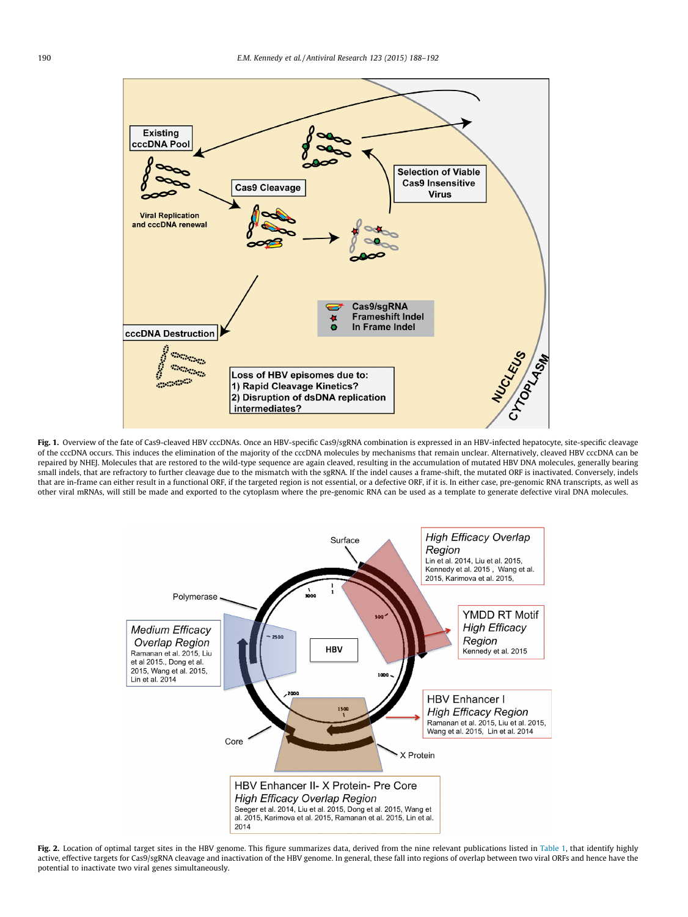<span id="page-2-0"></span>

Fig. 1. Overview of the fate of Cas9-cleaved HBV cccDNAs. Once an HBV-specific Cas9/sgRNA combination is expressed in an HBV-infected hepatocyte, site-specific cleavage of the cccDNA occurs. This induces the elimination of the majority of the cccDNA molecules by mechanisms that remain unclear. Alternatively, cleaved HBV cccDNA can be repaired by NHEJ. Molecules that are restored to the wild-type sequence are again cleaved, resulting in the accumulation of mutated HBV DNA molecules, generally bearing small indels, that are refractory to further cleavage due to the mismatch with the sgRNA. If the indel causes a frame-shift, the mutated ORF is inactivated. Conversely, indels that are in-frame can either result in a functional ORF, if the targeted region is not essential, or a defective ORF, if it is. In either case, pre-genomic RNA transcripts, as well as other viral mRNAs, will still be made and exported to the cytoplasm where the pre-genomic RNA can be used as a template to generate defective viral DNA molecules.



Fig. 2. Location of optimal target sites in the HBV genome. This figure summarizes data, derived from the nine relevant publications listed in [Table 1,](#page-1-0) that identify highly active, effective targets for Cas9/sgRNA cleavage and inactivation of the HBV genome. In general, these fall into regions of overlap between two viral ORFs and hence have the potential to inactivate two viral genes simultaneously.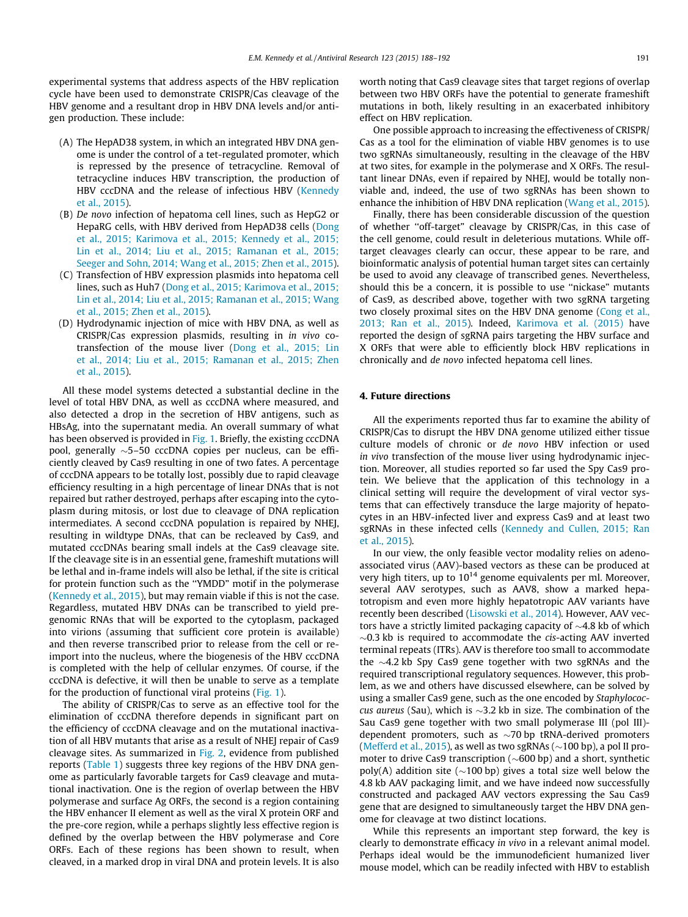experimental systems that address aspects of the HBV replication cycle have been used to demonstrate CRISPR/Cas cleavage of the HBV genome and a resultant drop in HBV DNA levels and/or antigen production. These include:

- (A) The HepAD38 system, in which an integrated HBV DNA genome is under the control of a tet-regulated promoter, which is repressed by the presence of tetracycline. Removal of tetracycline induces HBV transcription, the production of HBV cccDNA and the release of infectious HBV ([Kennedy](#page-4-0) [et al., 2015\)](#page-4-0).
- (B) De novo infection of hepatoma cell lines, such as HepG2 or HepaRG cells, with HBV derived from HepAD38 cells ([Dong](#page-4-0) [et al., 2015; Karimova et al., 2015; Kennedy et al., 2015;](#page-4-0) [Lin et al., 2014; Liu et al., 2015; Ramanan et al., 2015;](#page-4-0) [Seeger and Sohn, 2014; Wang et al., 2015; Zhen et al., 2015\)](#page-4-0).
- (C) Transfection of HBV expression plasmids into hepatoma cell lines, such as Huh7 ([Dong et al., 2015; Karimova et al., 2015;](#page-4-0) [Lin et al., 2014; Liu et al., 2015; Ramanan et al., 2015; Wang](#page-4-0) [et al., 2015; Zhen et al., 2015\)](#page-4-0).
- (D) Hydrodynamic injection of mice with HBV DNA, as well as CRISPR/Cas expression plasmids, resulting in in vivo cotransfection of the mouse liver ([Dong et al., 2015; Lin](#page-4-0) [et al., 2014; Liu et al., 2015; Ramanan et al., 2015; Zhen](#page-4-0) [et al., 2015\)](#page-4-0).

All these model systems detected a substantial decline in the level of total HBV DNA, as well as cccDNA where measured, and also detected a drop in the secretion of HBV antigens, such as HBsAg, into the supernatant media. An overall summary of what has been observed is provided in [Fig. 1](#page-2-0). Briefly, the existing cccDNA pool, generally -5–50 cccDNA copies per nucleus, can be efficiently cleaved by Cas9 resulting in one of two fates. A percentage of cccDNA appears to be totally lost, possibly due to rapid cleavage efficiency resulting in a high percentage of linear DNAs that is not repaired but rather destroyed, perhaps after escaping into the cytoplasm during mitosis, or lost due to cleavage of DNA replication intermediates. A second cccDNA population is repaired by NHEJ, resulting in wildtype DNAs, that can be recleaved by Cas9, and mutated cccDNAs bearing small indels at the Cas9 cleavage site. If the cleavage site is in an essential gene, frameshift mutations will be lethal and in-frame indels will also be lethal, if the site is critical for protein function such as the ''YMDD" motif in the polymerase ([Kennedy et al., 2015\)](#page-4-0), but may remain viable if this is not the case. Regardless, mutated HBV DNAs can be transcribed to yield pregenomic RNAs that will be exported to the cytoplasm, packaged into virions (assuming that sufficient core protein is available) and then reverse transcribed prior to release from the cell or reimport into the nucleus, where the biogenesis of the HBV cccDNA is completed with the help of cellular enzymes. Of course, if the cccDNA is defective, it will then be unable to serve as a template for the production of functional viral proteins [\(Fig. 1\)](#page-2-0).

The ability of CRISPR/Cas to serve as an effective tool for the elimination of cccDNA therefore depends in significant part on the efficiency of cccDNA cleavage and on the mutational inactivation of all HBV mutants that arise as a result of NHEJ repair of Cas9 cleavage sites. As summarized in [Fig. 2,](#page-2-0) evidence from published reports [\(Table 1](#page-1-0)) suggests three key regions of the HBV DNA genome as particularly favorable targets for Cas9 cleavage and mutational inactivation. One is the region of overlap between the HBV polymerase and surface Ag ORFs, the second is a region containing the HBV enhancer II element as well as the viral X protein ORF and the pre-core region, while a perhaps slightly less effective region is defined by the overlap between the HBV polymerase and Core ORFs. Each of these regions has been shown to result, when cleaved, in a marked drop in viral DNA and protein levels. It is also worth noting that Cas9 cleavage sites that target regions of overlap between two HBV ORFs have the potential to generate frameshift mutations in both, likely resulting in an exacerbated inhibitory effect on HBV replication.

One possible approach to increasing the effectiveness of CRISPR/ Cas as a tool for the elimination of viable HBV genomes is to use two sgRNAs simultaneously, resulting in the cleavage of the HBV at two sites, for example in the polymerase and X ORFs. The resultant linear DNAs, even if repaired by NHEJ, would be totally nonviable and, indeed, the use of two sgRNAs has been shown to enhance the inhibition of HBV DNA replication [\(Wang et al., 2015\)](#page-4-0).

Finally, there has been considerable discussion of the question of whether ''off-target" cleavage by CRISPR/Cas, in this case of the cell genome, could result in deleterious mutations. While offtarget cleavages clearly can occur, these appear to be rare, and bioinformatic analysis of potential human target sites can certainly be used to avoid any cleavage of transcribed genes. Nevertheless, should this be a concern, it is possible to use ''nickase" mutants of Cas9, as described above, together with two sgRNA targeting two closely proximal sites on the HBV DNA genome ([Cong et al.,](#page-4-0) [2013; Ran et al., 2015\)](#page-4-0). Indeed, [Karimova et al. \(2015\)](#page-4-0) have reported the design of sgRNA pairs targeting the HBV surface and X ORFs that were able to efficiently block HBV replications in chronically and de novo infected hepatoma cell lines.

### 4. Future directions

All the experiments reported thus far to examine the ability of CRISPR/Cas to disrupt the HBV DNA genome utilized either tissue culture models of chronic or de novo HBV infection or used in vivo transfection of the mouse liver using hydrodynamic injection. Moreover, all studies reported so far used the Spy Cas9 protein. We believe that the application of this technology in a clinical setting will require the development of viral vector systems that can effectively transduce the large majority of hepatocytes in an HBV-infected liver and express Cas9 and at least two sgRNAs in these infected cells ([Kennedy and Cullen, 2015; Ran](#page-4-0) [et al., 2015\)](#page-4-0).

In our view, the only feasible vector modality relies on adenoassociated virus (AAV)-based vectors as these can be produced at very high titers, up to  $10^{14}$  genome equivalents per ml. Moreover, several AAV serotypes, such as AAV8, show a marked hepatotropism and even more highly hepatotropic AAV variants have recently been described ([Lisowski et al., 2014\)](#page-4-0). However, AAV vectors have a strictly limited packaging capacity of  $\sim$ 4.8 kb of which  $\sim$ 0.3 kb is required to accommodate the cis-acting AAV inverted terminal repeats (ITRs). AAV is therefore too small to accommodate the  $\sim$ 4.2 kb Spy Cas9 gene together with two sgRNAs and the required transcriptional regulatory sequences. However, this problem, as we and others have discussed elsewhere, can be solved by using a smaller Cas9 gene, such as the one encoded by Staphylococcus aureus (Sau), which is  $\sim$ 3.2 kb in size. The combination of the Sau Cas9 gene together with two small polymerase III (pol III) dependent promoters, such as  $\sim$ 70 bp tRNA-derived promoters ([Mefferd et al., 2015\)](#page-4-0), as well as two sgRNAs ( $\sim$ 100 bp), a pol II promoter to drive Cas9 transcription ( $\sim$ 600 bp) and a short, synthetic  $poly(A)$  addition site ( $\sim$ 100 bp) gives a total size well below the 4.8 kb AAV packaging limit, and we have indeed now successfully constructed and packaged AAV vectors expressing the Sau Cas9 gene that are designed to simultaneously target the HBV DNA genome for cleavage at two distinct locations.

While this represents an important step forward, the key is clearly to demonstrate efficacy in vivo in a relevant animal model. Perhaps ideal would be the immunodeficient humanized liver mouse model, which can be readily infected with HBV to establish